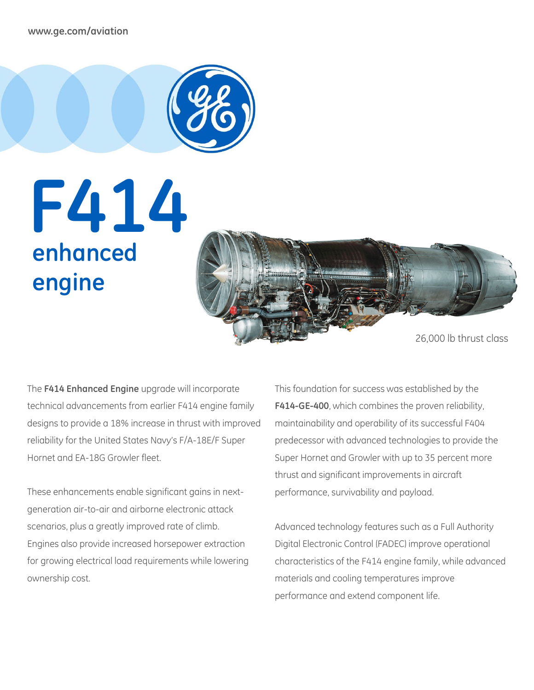

**F414 enhanced engine**

26,000 lb thrust class

The **F414 Enhanced Engine** upgrade will incorporate technical advancements from earlier F414 engine family designs to provide a 18% increase in thrust with improved reliability for the United States Navy's F/A-18E/F Super Hornet and EA-18G Growler fleet.

These enhancements enable significant gains in nextgeneration air-to-air and airborne electronic attack scenarios, plus a greatly improved rate of climb. Engines also provide increased horsepower extraction for growing electrical load requirements while lowering ownership cost.

This foundation for success was established by the **F414-GE-400**, which combines the proven reliability, maintainability and operability of its successful F404 predecessor with advanced technologies to provide the Super Hornet and Growler with up to 35 percent more thrust and significant improvements in aircraft performance, survivability and payload.

Advanced technology features such as a Full Authority Digital Electronic Control (FADEC) improve operational characteristics of the F414 engine family, while advanced materials and cooling temperatures improve performance and extend component life.